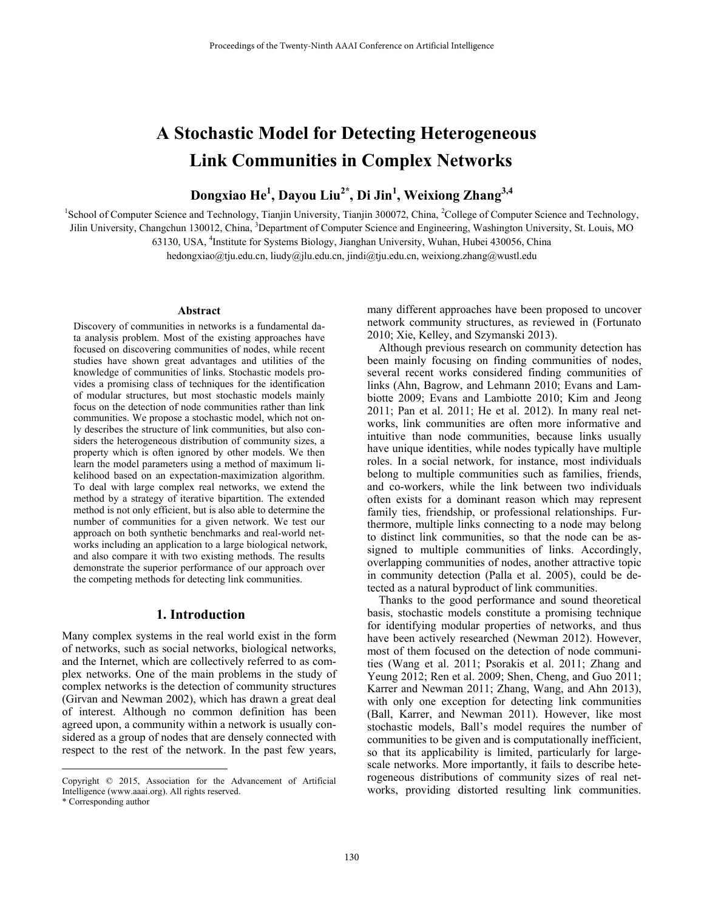# **A Stochastic Model for Detecting Heterogeneous Link Communities in Complex Networks**

# **Dongxiao He<sup>1</sup> , Dayou Liu2\*, Di Jin1 , Weixiong Zhang3,4**

<sup>1</sup>School of Computer Science and Technology, Tianjin University, Tianjin 300072, China, <sup>2</sup>College of Computer Science and Technology, Jilin University, Changchun 130012, China, <sup>3</sup>Department of Computer Science and Engineering, Washington University, St. Louis, MO 63130, USA, <sup>4</sup>Institute for Systems Biology, Jianghan University, Wuhan, Hubei 430056, China

hedongxiao@tju.edu.cn, liudy@jlu.edu.cn, jindi@tju.edu.cn, weixiong.zhang@wustl.edu

#### **Abstract**

Discovery of communities in networks is a fundamental data analysis problem. Most of the existing approaches have focused on discovering communities of nodes, while recent studies have shown great advantages and utilities of the knowledge of communities of links. Stochastic models provides a promising class of techniques for the identification of modular structures, but most stochastic models mainly focus on the detection of node communities rather than link communities. We propose a stochastic model, which not only describes the structure of link communities, but also considers the heterogeneous distribution of community sizes, a property which is often ignored by other models. We then learn the model parameters using a method of maximum likelihood based on an expectation-maximization algorithm. To deal with large complex real networks, we extend the method by a strategy of iterative bipartition. The extended method is not only efficient, but is also able to determine the number of communities for a given network. We test our approach on both synthetic benchmarks and real-world networks including an application to a large biological network, and also compare it with two existing methods. The results demonstrate the superior performance of our approach over the competing methods for detecting link communities.

# **1. Introduction**

Many complex systems in the real world exist in the form of networks, such as social networks, biological networks, and the Internet, which are collectively referred to as complex networks. One of the main problems in the study of complex networks is the detection of community structures (Girvan and Newman 2002), which has drawn a great deal of interest. Although no common definition has been agreed upon, a community within a network is usually considered as a group of nodes that are densely connected with respect to the rest of the network. In the past few years,

 $\overline{a}$ 

many different approaches have been proposed to uncover network community structures, as reviewed in (Fortunato 2010; Xie, Kelley, and Szymanski 2013).

 Although previous research on community detection has been mainly focusing on finding communities of nodes, several recent works considered finding communities of links (Ahn, Bagrow, and Lehmann 2010; Evans and Lambiotte 2009; Evans and Lambiotte 2010; Kim and Jeong 2011; Pan et al. 2011; He et al. 2012). In many real networks, link communities are often more informative and intuitive than node communities, because links usually have unique identities, while nodes typically have multiple roles. In a social network, for instance, most individuals belong to multiple communities such as families, friends, and co-workers, while the link between two individuals often exists for a dominant reason which may represent family ties, friendship, or professional relationships. Furthermore, multiple links connecting to a node may belong to distinct link communities, so that the node can be assigned to multiple communities of links. Accordingly, overlapping communities of nodes, another attractive topic in community detection (Palla et al. 2005), could be detected as a natural byproduct of link communities.

 Thanks to the good performance and sound theoretical basis, stochastic models constitute a promising technique for identifying modular properties of networks, and thus have been actively researched (Newman 2012). However, most of them focused on the detection of node communities (Wang et al. 2011; Psorakis et al. 2011; Zhang and Yeung 2012; Ren et al. 2009; Shen, Cheng, and Guo 2011; Karrer and Newman 2011; Zhang, Wang, and Ahn 2013), with only one exception for detecting link communities (Ball, Karrer, and Newman 2011). However, like most stochastic models, Ball's model requires the number of communities to be given and is computationally inefficient, so that its applicability is limited, particularly for largescale networks. More importantly, it fails to describe heterogeneous distributions of community sizes of real networks, providing distorted resulting link communities.

Copyright © 2015, Association for the Advancement of Artificial Intelligence (www.aaai.org). All rights reserved.

<sup>\*</sup> Corresponding author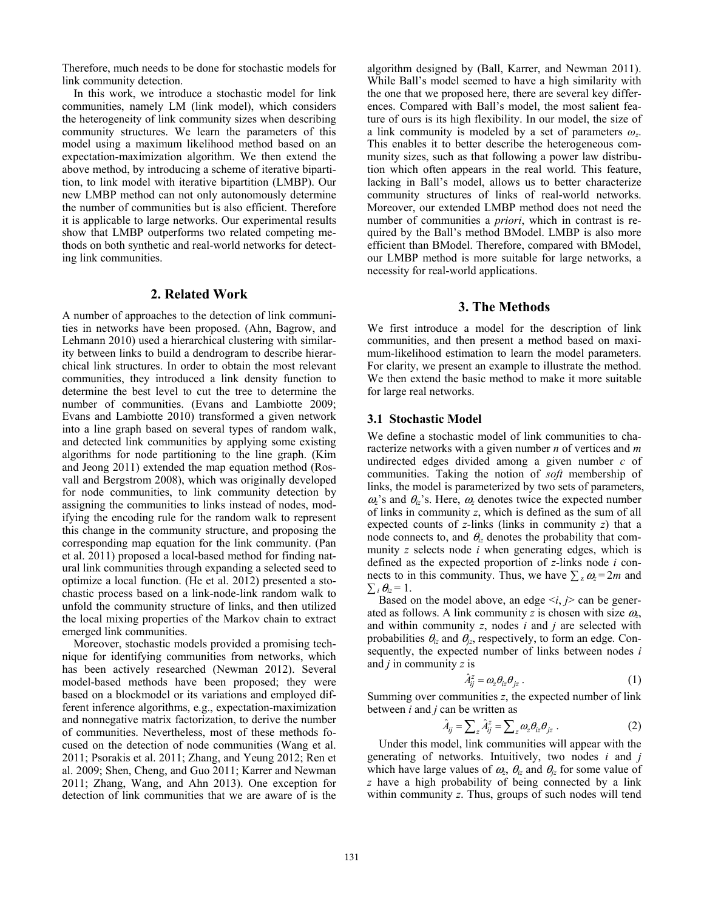Therefore, much needs to be done for stochastic models for link community detection.

 In this work, we introduce a stochastic model for link communities, namely LM (link model), which considers the heterogeneity of link community sizes when describing community structures. We learn the parameters of this model using a maximum likelihood method based on an expectation-maximization algorithm. We then extend the above method, by introducing a scheme of iterative bipartition, to link model with iterative bipartition (LMBP). Our new LMBP method can not only autonomously determine the number of communities but is also efficient. Therefore it is applicable to large networks. Our experimental results show that LMBP outperforms two related competing methods on both synthetic and real-world networks for detecting link communities.

#### **2. Related Work**

A number of approaches to the detection of link communities in networks have been proposed. (Ahn, Bagrow, and Lehmann 2010) used a hierarchical clustering with similarity between links to build a dendrogram to describe hierarchical link structures. In order to obtain the most relevant communities, they introduced a link density function to determine the best level to cut the tree to determine the number of communities. (Evans and Lambiotte 2009; Evans and Lambiotte 2010) transformed a given network into a line graph based on several types of random walk, and detected link communities by applying some existing algorithms for node partitioning to the line graph. (Kim and Jeong 2011) extended the map equation method (Rosvall and Bergstrom 2008), which was originally developed for node communities, to link community detection by assigning the communities to links instead of nodes, modifying the encoding rule for the random walk to represent this change in the community structure, and proposing the corresponding map equation for the link community. (Pan et al. 2011) proposed a local-based method for finding natural link communities through expanding a selected seed to optimize a local function. (He et al. 2012) presented a stochastic process based on a link-node-link random walk to unfold the community structure of links, and then utilized the local mixing properties of the Markov chain to extract emerged link communities.

 Moreover, stochastic models provided a promising technique for identifying communities from networks, which has been actively researched (Newman 2012). Several model-based methods have been proposed; they were based on a blockmodel or its variations and employed different inference algorithms, e.g., expectation-maximization and nonnegative matrix factorization, to derive the number of communities. Nevertheless, most of these methods focused on the detection of node communities (Wang et al. 2011; Psorakis et al. 2011; Zhang, and Yeung 2012; Ren et al. 2009; Shen, Cheng, and Guo 2011; Karrer and Newman 2011; Zhang, Wang, and Ahn 2013). One exception for detection of link communities that we are aware of is the

algorithm designed by (Ball, Karrer, and Newman 2011). While Ball's model seemed to have a high similarity with the one that we proposed here, there are several key differences. Compared with Ball's model, the most salient feature of ours is its high flexibility. In our model, the size of a link community is modeled by a set of parameters *ωz*. This enables it to better describe the heterogeneous community sizes, such as that following a power law distribution which often appears in the real world. This feature, lacking in Ball's model, allows us to better characterize community structures of links of real-world networks. Moreover, our extended LMBP method does not need the number of communities a *priori*, which in contrast is required by the Ball's method BModel. LMBP is also more efficient than BModel. Therefore, compared with BModel, our LMBP method is more suitable for large networks, a necessity for real-world applications.

# **3. The Methods**

We first introduce a model for the description of link communities, and then present a method based on maximum-likelihood estimation to learn the model parameters. For clarity, we present an example to illustrate the method. We then extend the basic method to make it more suitable for large real networks.

#### **3.1 Stochastic Model**

We define a stochastic model of link communities to characterize networks with a given number *n* of vertices and *m* undirected edges divided among a given number *c* of communities. Taking the notion of *soft* membership of links, the model is parameterized by two sets of parameters,  $\omega$ <sup>'</sup>s and  $\theta$ <sub>*iz*</sub>'s. Here,  $\omega$ <sub>*z*</sub> denotes twice the expected number of links in community *z*, which is defined as the sum of all expected counts of *z*-links (links in community *z*) that a node connects to, and  $\theta_i$  denotes the probability that community *z* selects node *i* when generating edges, which is defined as the expected proportion of *z*-links node *i* connects to in this community. Thus, we have  $\sum_{z} \omega_z = 2m$  and  $\sum_i \theta_{iz} = 1$ .

Based on the model above, an edge  $\leq i, j$  can be generated as follows. A link community *z* is chosen with size  $\omega$ , and within community *z*, nodes *i* and *j* are selected with probabilities  $\theta_{iz}$  and  $\theta_{iz}$ , respectively, to form an edge. Consequently, the expected number of links between nodes *i* and *j* in community *z* is

$$
\hat{A}_{ij}^z = \omega_z \theta_{iz} \theta_{jz} . \tag{1}
$$

Summing over communities *z*, the expected number of link between *i* and *j* can be written as

$$
\hat{A}_{ij} = \sum_{z} \hat{A}_{ij}^{z} = \sum_{z} \omega_{z} \theta_{iz} \theta_{jz} . \qquad (2)
$$

 Under this model, link communities will appear with the generating of networks. Intuitively, two nodes *i* and *j* which have large values of  $\omega_z$ ,  $\theta_z$  and  $\theta_z$  for some value of *z* have a high probability of being connected by a link within community *z*. Thus, groups of such nodes will tend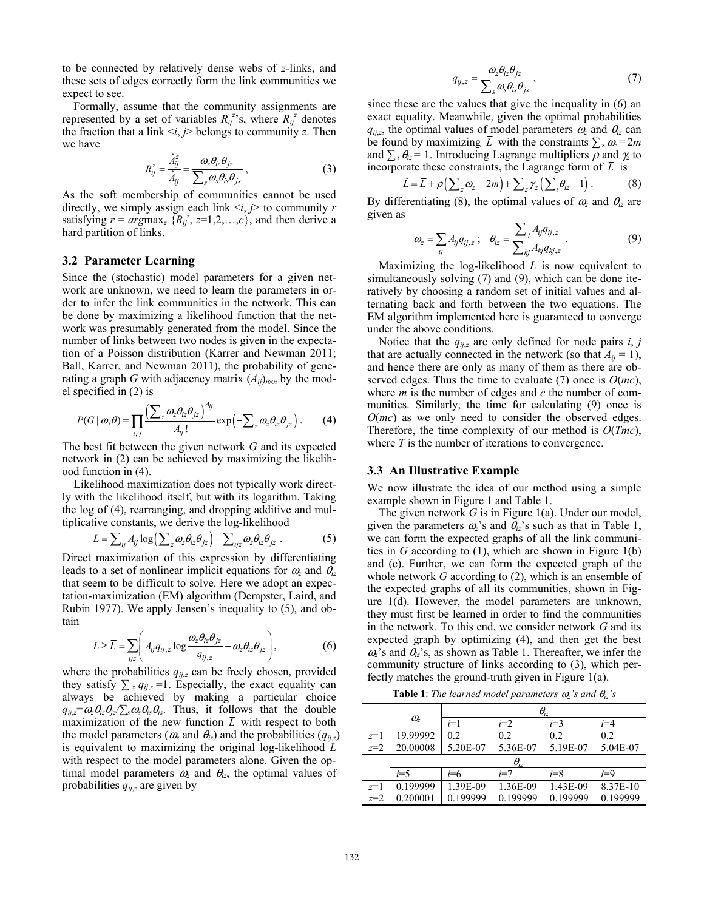to be connected by relatively dense webs of *z*-links, and these sets of edges correctly form the link communities we expect to see.

 Formally, assume that the community assignments are represented by a set of variables  $R_{ij}^{z}$ 's, where  $R_{ij}^{z}$  denotes the fraction that a link  $\langle i, j \rangle$  belongs to community *z*. Then we have

$$
R_{ij}^z = \frac{\hat{A}_{ij}^z}{\hat{A}_{ij}} = \frac{\omega_z \theta_{iz} \theta_{jz}}{\sum_s \omega_s \theta_{is} \theta_{js}},
$$
\n(3)

As the soft membership of communities cannot be used directly, we simply assign each link  $\lt i, j$  to community *r* satisfying  $r = argmax_z \{R_i^z, z=1,2,...,c\}$ , and then derive a hard partition of links.

#### **3.2 Parameter Learning**

Since the (stochastic) model parameters for a given network are unknown, we need to learn the parameters in order to infer the link communities in the network. This can be done by maximizing a likelihood function that the network was presumably generated from the model. Since the number of links between two nodes is given in the expectation of a Poisson distribution (Karrer and Newman 2011; Ball, Karrer, and Newman 2011), the probability of generating a graph *G* with adjacency matrix  $(A_{ij})_{n\times n}$  by the model specified in (2) is

$$
P(G \mid \omega, \theta) = \prod_{i,j} \frac{\left(\sum_{z} \omega_{z} \theta_{iz} \theta_{jz}\right)^{A_{ij}}}{A_{ij}!} \exp\left(-\sum_{z} \omega_{z} \theta_{iz} \theta_{jz}\right). \tag{4}
$$

The best fit between the given network *G* and its expected network in (2) can be achieved by maximizing the likelihood function in (4).

 Likelihood maximization does not typically work directly with the likelihood itself, but with its logarithm. Taking the log of (4), rearranging, and dropping additive and multiplicative constants, we derive the log-likelihood

$$
L = \sum_{ij} A_{ij} \log \left( \sum_{z} \omega_{z} \theta_{iz} \theta_{jz} \right) - \sum_{ijz} \omega_{z} \theta_{iz} \theta_{jz} . \tag{5}
$$

Direct maximization of this expression by differentiating leads to a set of nonlinear implicit equations for  $\omega_z$  and  $\theta_{iz}$ that seem to be difficult to solve. Here we adopt an expectation-maximization (EM) algorithm (Dempster, Laird, and Rubin 1977). We apply Jensen's inequality to (5), and obtain

$$
L \ge \overline{L} = \sum_{ijz} \left( A_{ij} q_{ij,z} \log \frac{\omega_z \theta_{iz} \theta_{jz}}{q_{ij,z}} - \omega_z \theta_{iz} \theta_{jz} \right),
$$
(6)

where the probabilities  $q_{ij,z}$  can be freely chosen, provided they satisfy  $\sum_{z} q_{ij,z} = 1$ . Especially, the exact equality can always be achieved by making a particular choice  $q_{ij,z} = \omega_z \theta_{iz} \theta_{jz} / \sum_s \omega_s \theta_{is} \theta_{js}$ . Thus, it follows that the double maximization of the new function  $\overline{L}$  with respect to both the model parameters ( $\omega_z$  and  $\theta_{iz}$ ) and the probabilities ( $q_{ii,z}$ ) is equivalent to maximizing the original log-likelihood *L* with respect to the model parameters alone. Given the optimal model parameters  $\omega_z$  and  $\theta_{iz}$ , the optimal values of probabilities  $q_{ij,z}$  are given by

$$
q_{ij,z} = \frac{\omega_z \theta_{iz} \theta_{jz}}{\sum_s \omega_s \theta_{is} \theta_{js}},
$$
\n(7)

since these are the values that give the inequality in (6) an exact equality. Meanwhile, given the optimal probabilities  $q_{ij,z}$ , the optimal values of model parameters  $\omega_z$  and  $\theta_{iz}$  can be found by maximizing  $\overline{L}$  with the constraints  $\sum_{z} \omega_z = 2m$ and  $\sum_i \theta_i = 1$ . Introducing Lagrange multipliers  $\rho$  and  $\gamma$ z to incorporate these constraints, the Lagrange form of  $\overline{L}$  is

$$
\tilde{L} = \overline{L} + \rho \left( \sum_{z} \omega_{z} - 2m \right) + \sum_{z} \gamma_{z} \left( \sum_{i} \theta_{iz} - 1 \right). \tag{8}
$$

By differentiating (8), the optimal values of  $\omega_z$  and  $\theta_{iz}$  are given as

$$
\omega_z = \sum_{ij} A_{ij} q_{ij,z} \; ; \; \; \theta_{iz} = \frac{\sum_j A_{ij} q_{ij,z}}{\sum_{kj} A_{kj} q_{kj,z}} \; . \tag{9}
$$

 Maximizing the log-likelihood *L* is now equivalent to simultaneously solving (7) and (9), which can be done iteratively by choosing a random set of initial values and alternating back and forth between the two equations. The EM algorithm implemented here is guaranteed to converge under the above conditions.

Notice that the  $q_{ij,z}$  are only defined for node pairs *i*, *j* that are actually connected in the network (so that  $A_{ii} = 1$ ), and hence there are only as many of them as there are observed edges. Thus the time to evaluate (7) once is *O*(*mc*), where *m* is the number of edges and *c* the number of communities. Similarly, the time for calculating (9) once is *O*(*mc*) as we only need to consider the observed edges. Therefore, the time complexity of our method is *O*(*Tmc*), where *T* is the number of iterations to convergence.

### **3.3 An Illustrative Example**

We now illustrate the idea of our method using a simple example shown in Figure 1 and Table 1.

 The given network *G* is in Figure 1(a). Under our model, given the parameters  $\omega$ <sup>2</sup>'s and  $\theta$ <sub>iz</sub>'s such as that in Table 1, we can form the expected graphs of all the link communities in *G* according to (1), which are shown in Figure 1(b) and (c). Further, we can form the expected graph of the whole network *G* according to (2), which is an ensemble of the expected graphs of all its communities, shown in Figure 1(d). However, the model parameters are unknown, they must first be learned in order to find the communities in the network. To this end, we consider network *G* and its expected graph by optimizing (4), and then get the best  $\omega$ <sup>2</sup>'s and  $\theta$ <sub>iz</sub>'s, as shown as Table 1. Thereafter, we infer the community structure of links according to (3), which perfectly matches the ground-truth given in Figure 1(a).

**Table 1**: *The learned model parameters*  $\omega$ <sub>*z</sub>'s and*  $\theta$ <sub>*iz's*</sub></sub>

|       |               | $\theta_{iz}$ |          |          |          |  |  |  |  |  |
|-------|---------------|---------------|----------|----------|----------|--|--|--|--|--|
|       | $\omega$      | $i=1$         | $i=2$    | $i=3$    | $i = 4$  |  |  |  |  |  |
| $z=1$ | 19.99992      | 0.2           | 0.2      | 0.2      | 0.2      |  |  |  |  |  |
| $z=2$ | 20.00008      | 5.20E-07      | 5.36E-07 | 5.19E-07 | 5.04E-07 |  |  |  |  |  |
|       | $\theta_{iz}$ |               |          |          |          |  |  |  |  |  |
|       | $i=5$         | i=6           | $i=7$    | i=8      | i=9      |  |  |  |  |  |
| $z=1$ | 0.199999      | 1.39E-09      | 1.36E-09 | 1.43E-09 | 8.37E-10 |  |  |  |  |  |
| $z=2$ | 0.200001      | 0.199999      | 0.199999 | 0.199999 | 0.199999 |  |  |  |  |  |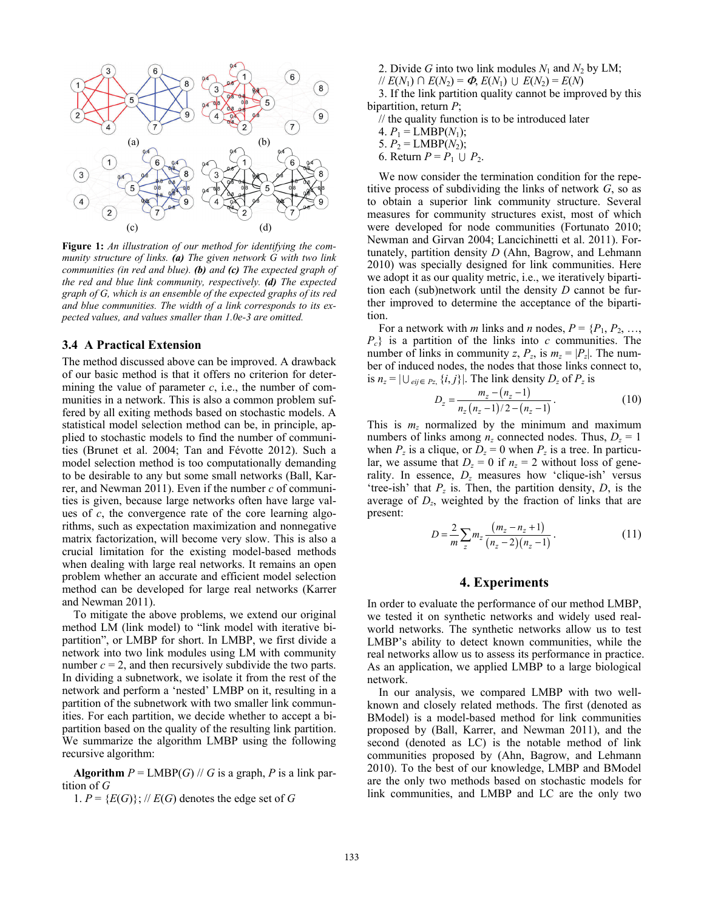

**Figure 1:** *An illustration of our method for identifying the community structure of links. (a) The given network G with two link communities (in red and blue). (b) and (c) The expected graph of the red and blue link community, respectively. (d) The expected graph of G, which is an ensemble of the expected graphs of its red and blue communities. The width of a link corresponds to its expected values, and values smaller than 1.0e-3 are omitted.*

#### **3.4 A Practical Extension**

The method discussed above can be improved. A drawback of our basic method is that it offers no criterion for determining the value of parameter  $c$ , i.e., the number of communities in a network. This is also a common problem suffered by all exiting methods based on stochastic models. A statistical model selection method can be, in principle, applied to stochastic models to find the number of communities (Brunet et al. 2004; Tan and Févotte 2012). Such a model selection method is too computationally demanding to be desirable to any but some small networks (Ball, Karrer, and Newman 2011). Even if the number *c* of communities is given, because large networks often have large values of *c*, the convergence rate of the core learning algorithms, such as expectation maximization and nonnegative matrix factorization, will become very slow. This is also a crucial limitation for the existing model-based methods when dealing with large real networks. It remains an open problem whether an accurate and efficient model selection method can be developed for large real networks (Karrer and Newman 2011).

 To mitigate the above problems, we extend our original method LM (link model) to "link model with iterative bipartition", or LMBP for short. In LMBP, we first divide a network into two link modules using LM with community number  $c = 2$ , and then recursively subdivide the two parts. In dividing a subnetwork, we isolate it from the rest of the network and perform a 'nested' LMBP on it, resulting in a partition of the subnetwork with two smaller link communities. For each partition, we decide whether to accept a bipartition based on the quality of the resulting link partition. We summarize the algorithm LMBP using the following recursive algorithm:

**Algorithm**  $P = \text{LMBP}(G)$  // *G* is a graph, *P* is a link partition of *G* 

1.  $P = \{E(G)\}; \#E(G)$  denotes the edge set of *G* 

- 2. Divide *G* into two link modules  $N_1$  and  $N_2$  by LM;
- $// E(N_1) ∩ E(N_2) = ∅ E(N_1) ∪ E(N_2) = E(N)$

3. If the link partition quality cannot be improved by this bipartition, return *P*;

// the quality function is to be introduced later

4.  $P_1 = \text{LMBP}(N_1);$ 

- 5.  $P_2 = \text{LMBP}(N_2);$
- 6. Return  $P = P_1 \cup P_2$ .

 We now consider the termination condition for the repetitive process of subdividing the links of network *G*, so as to obtain a superior link community structure. Several measures for community structures exist, most of which were developed for node communities (Fortunato 2010; Newman and Girvan 2004; Lancichinetti et al. 2011). Fortunately, partition density *D* (Ahn, Bagrow, and Lehmann 2010) was specially designed for link communities. Here we adopt it as our quality metric, i.e., we iteratively bipartition each (sub)network until the density *D* cannot be further improved to determine the acceptance of the bipartition.

For a network with *m* links and *n* nodes,  $P = \{P_1, P_2, \ldots, P_n\}$ *Pc*} is a partition of the links into *c* communities. The number of links in community *z*,  $P_z$ , is  $m_z = |P_z|$ . The number of induced nodes, the nodes that those links connect to, is  $n_z = |\bigcup_{eij \in P_z} \{i, j\}|$ . The link density  $D_z$  of  $P_z$  is

$$
D_z = \frac{m_z - (n_z - 1)}{n_z (n_z - 1)/2 - (n_z - 1)}.
$$
 (10)

This is  $m<sub>z</sub>$  normalized by the minimum and maximum numbers of links among  $n_z$  connected nodes. Thus,  $D_z = 1$ when  $P_z$  is a clique, or  $D_z = 0$  when  $P_z$  is a tree. In particular, we assume that  $D_z = 0$  if  $n_z = 2$  without loss of generality. In essence, *Dz* measures how 'clique-ish' versus 'tree-ish' that  $P_z$  is. Then, the partition density,  $D_z$ , is the average of *Dz*, weighted by the fraction of links that are present:

$$
D = \frac{2}{m} \sum_{z} m_z \frac{(m_z - n_z + 1)}{(n_z - 2)(n_z - 1)}.
$$
 (11)

### **4. Experiments**

In order to evaluate the performance of our method LMBP, we tested it on synthetic networks and widely used realworld networks. The synthetic networks allow us to test LMBP's ability to detect known communities, while the real networks allow us to assess its performance in practice. As an application, we applied LMBP to a large biological network.

 In our analysis, we compared LMBP with two wellknown and closely related methods. The first (denoted as BModel) is a model-based method for link communities proposed by (Ball, Karrer, and Newman 2011), and the second (denoted as LC) is the notable method of link communities proposed by (Ahn, Bagrow, and Lehmann 2010). To the best of our knowledge, LMBP and BModel are the only two methods based on stochastic models for link communities, and LMBP and LC are the only two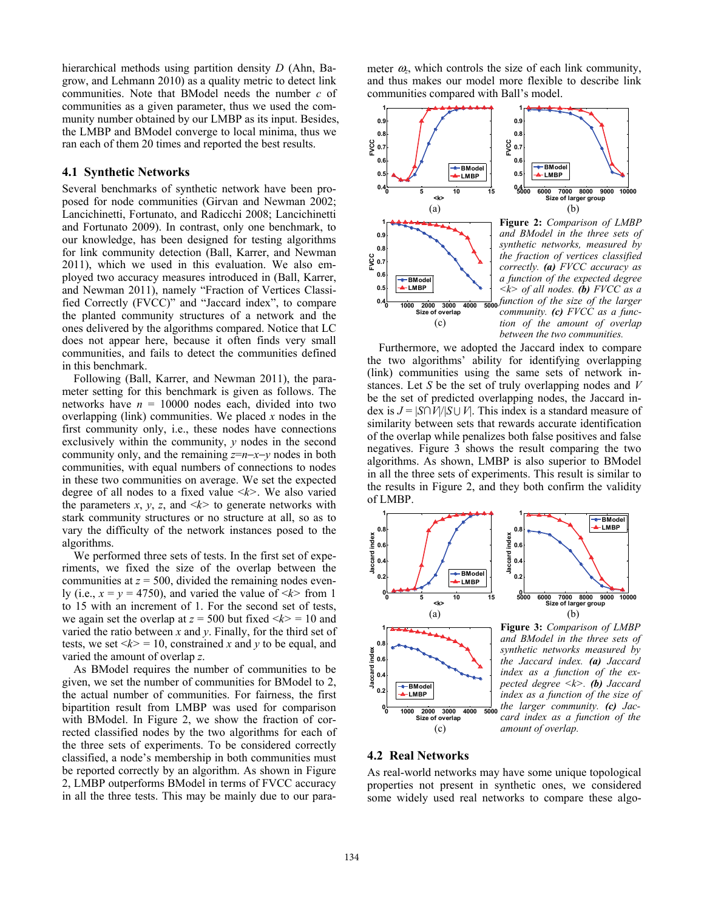hierarchical methods using partition density *D* (Ahn, Bagrow, and Lehmann 2010) as a quality metric to detect link communities. Note that BModel needs the number *c* of communities as a given parameter, thus we used the community number obtained by our LMBP as its input. Besides, the LMBP and BModel converge to local minima, thus we ran each of them 20 times and reported the best results.

#### **4.1 Synthetic Networks**

Several benchmarks of synthetic network have been proposed for node communities (Girvan and Newman 2002; Lancichinetti, Fortunato, and Radicchi 2008; Lancichinetti and Fortunato 2009). In contrast, only one benchmark, to our knowledge, has been designed for testing algorithms for link community detection (Ball, Karrer, and Newman 2011), which we used in this evaluation. We also employed two accuracy measures introduced in (Ball, Karrer, and Newman 2011), namely "Fraction of Vertices Classified Correctly (FVCC)" and "Jaccard index", to compare the planted community structures of a network and the ones delivered by the algorithms compared. Notice that LC does not appear here, because it often finds very small communities, and fails to detect the communities defined in this benchmark.

 Following (Ball, Karrer, and Newman 2011), the parameter setting for this benchmark is given as follows. The networks have  $n = 10000$  nodes each, divided into two overlapping (link) communities. We placed *x* nodes in the first community only, i.e., these nodes have connections exclusively within the community, *y* nodes in the second community only, and the remaining *z*=*n*−*x*−*y* nodes in both communities, with equal numbers of connections to nodes in these two communities on average. We set the expected degree of all nodes to a fixed value <*k>*. We also varied the parameters *x*, *y*, *z*, and  $\langle k \rangle$  to generate networks with stark community structures or no structure at all, so as to vary the difficulty of the network instances posed to the algorithms.

 We performed three sets of tests. In the first set of experiments, we fixed the size of the overlap between the communities at  $z = 500$ , divided the remaining nodes evenly (i.e.,  $x = y = 4750$ ), and varied the value of  $\langle k \rangle$  from 1 to 15 with an increment of 1. For the second set of tests, we again set the overlap at  $z = 500$  but fixed  $\langle k \rangle = 10$  and varied the ratio between *x* and *y*. Finally, for the third set of tests, we set  $\langle k \rangle = 10$ , constrained *x* and *y* to be equal, and varied the amount of overlap *z*.

 As BModel requires the number of communities to be given, we set the number of communities for BModel to 2, the actual number of communities. For fairness, the first bipartition result from LMBP was used for comparison with BModel. In Figure 2, we show the fraction of corrected classified nodes by the two algorithms for each of the three sets of experiments. To be considered correctly classified, a node's membership in both communities must be reported correctly by an algorithm. As shown in Figure 2, LMBP outperforms BModel in terms of FVCC accuracy in all the three tests. This may be mainly due to our parameter  $\omega_z$ , which controls the size of each link community, and thus makes our model more flexible to describe link communities compared with Ball's model.



 Furthermore, we adopted the Jaccard index to compare the two algorithms' ability for identifying overlapping (link) communities using the same sets of network instances. Let *S* be the set of truly overlapping nodes and *V* be the set of predicted overlapping nodes, the Jaccard index is  $J = |S \cap V| / |S \cup V|$ . This index is a standard measure of similarity between sets that rewards accurate identification of the overlap while penalizes both false positives and false negatives. Figure 3 shows the result comparing the two algorithms. As shown, LMBP is also superior to BModel in all the three sets of experiments. This result is similar to the results in Figure 2, and they both confirm the validity of LMBP.





**Figure 3:** *Comparison of LMBP and BModel in the three sets of synthetic networks measured by the Jaccard index. (a) Jaccard index as a function of the expected degree <k>. (b) Jaccard index as a function of the size of the larger community. (c) Jaccard index as a function of the amount of overlap.*

# **4.2 Real Networks**

(c)

As real-world networks may have some unique topological properties not present in synthetic ones, we considered some widely used real networks to compare these algo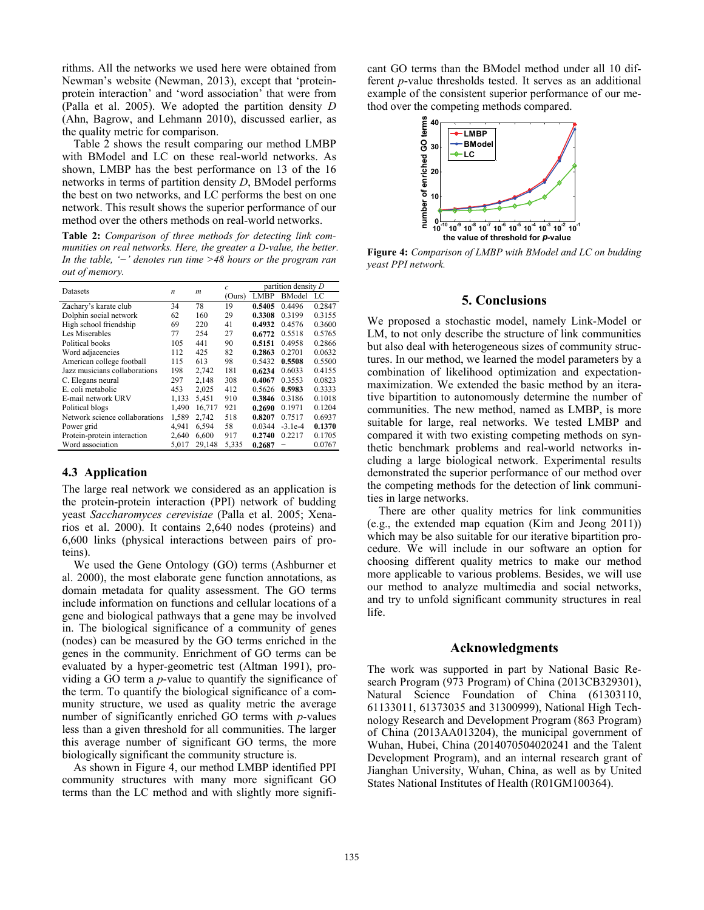rithms. All the networks we used here were obtained from Newman's website (Newman, 2013), except that 'proteinprotein interaction' and 'word association' that were from (Palla et al. 2005). We adopted the partition density *D* (Ahn, Bagrow, and Lehmann 2010), discussed earlier, as the quality metric for comparison.

 Table 2 shows the result comparing our method LMBP with BModel and LC on these real-world networks. As shown, LMBP has the best performance on 13 of the 16 networks in terms of partition density *D*, BModel performs the best on two networks, and LC performs the best on one network. This result shows the superior performance of our method over the others methods on real-world networks.

**Table 2:** *Comparison of three methods for detecting link communities on real networks. Here, the greater a D-value, the better. In the table, '−' denotes run time >48 hours or the program ran out of memory.*

|                                | n     | $\boldsymbol{m}$ | $\mathcal{C}_{0}$ | partition density $D$ |               |        |
|--------------------------------|-------|------------------|-------------------|-----------------------|---------------|--------|
| Datasets                       |       |                  | (Ours)            | LMBP                  | <b>BModel</b> | LC     |
| Zachary's karate club          | 34    | 78               | 19                | 0.5405                | 0.4496        | 0.2847 |
| Dolphin social network         | 62    | 160              | 29                | 0.3308                | 0.3199        | 0.3155 |
| High school friendship         | 69    | 220              | 41                | 0.4932                | 0.4576        | 0.3600 |
| Les Miserables                 | 77    | 254              | 27                | 0.6772                | 0.5518        | 0.5765 |
| Political books                | 105   | 441              | 90                | 0.5151                | 0.4958        | 0.2866 |
| Word adjacencies               | 112   | 425              | 82                | 0.2863                | 0.2701        | 0.0632 |
| American college football      | 115   | 613              | 98                | 0.5432                | 0.5508        | 0.5500 |
| Jazz musicians collaborations  | 198   | 2,742            | 181               | 0.6234                | 0.6033        | 0.4155 |
| C. Elegans neural              | 297   | 2.148            | 308               | 0.4067                | 0.3553        | 0.0823 |
| E. coli metabolic              | 453   | 2,025            | 412               | 0.5626                | 0.5983        | 0.3333 |
| E-mail network URV             | 1,133 | 5,451            | 910               | 0.3846                | 0.3186        | 0.1018 |
| Political blogs                | 1,490 | 16.717           | 921               | 0.2690                | 0.1971        | 0.1204 |
| Network science collaborations | 1.589 | 2,742            | 518               | 0.8207                | 0.7517        | 0.6937 |
| Power grid                     | 4.941 | 6.594            | 58                | 0.0344                | $-3.1e-4$     | 0.1370 |
| Protein-protein interaction    | 2,640 | 6,600            | 917               | 0.2740                | 0.2217        | 0.1705 |
| Word association               | 5,017 | 29,148           | 5,335             | 0.2687                | -             | 0.0767 |

# **4.3 Application**

The large real network we considered as an application is the protein-protein interaction (PPI) network of budding yeast *Saccharomyces cerevisiae* (Palla et al. 2005; Xenarios et al. 2000). It contains 2,640 nodes (proteins) and 6,600 links (physical interactions between pairs of proteins).

 We used the Gene Ontology (GO) terms (Ashburner et al. 2000), the most elaborate gene function annotations, as domain metadata for quality assessment. The GO terms include information on functions and cellular locations of a gene and biological pathways that a gene may be involved in. The biological significance of a community of genes (nodes) can be measured by the GO terms enriched in the genes in the community. Enrichment of GO terms can be evaluated by a hyper-geometric test (Altman 1991), providing a GO term a *p*-value to quantify the significance of the term. To quantify the biological significance of a community structure, we used as quality metric the average number of significantly enriched GO terms with *p*-values less than a given threshold for all communities. The larger this average number of significant GO terms, the more biologically significant the community structure is.

 As shown in Figure 4, our method LMBP identified PPI community structures with many more significant GO terms than the LC method and with slightly more significant GO terms than the BModel method under all 10 different *p*-value thresholds tested. It serves as an additional example of the consistent superior performance of our method over the competing methods compared.



**Figure 4:** *Comparison of LMBP with BModel and LC on budding yeast PPI network.*

# **5. Conclusions**

We proposed a stochastic model, namely Link-Model or LM, to not only describe the structure of link communities but also deal with heterogeneous sizes of community structures. In our method, we learned the model parameters by a combination of likelihood optimization and expectationmaximization. We extended the basic method by an iterative bipartition to autonomously determine the number of communities. The new method, named as LMBP, is more suitable for large, real networks. We tested LMBP and compared it with two existing competing methods on synthetic benchmark problems and real-world networks including a large biological network. Experimental results demonstrated the superior performance of our method over the competing methods for the detection of link communities in large networks.

 There are other quality metrics for link communities (e.g., the extended map equation (Kim and Jeong 2011)) which may be also suitable for our iterative bipartition procedure. We will include in our software an option for choosing different quality metrics to make our method more applicable to various problems. Besides, we will use our method to analyze multimedia and social networks, and try to unfold significant community structures in real life.

#### **Acknowledgments**

The work was supported in part by National Basic Research Program (973 Program) of China (2013CB329301), Natural Science Foundation of China (61303110, 61133011, 61373035 and 31300999), National High Technology Research and Development Program (863 Program) of China (2013AA013204), the municipal government of Wuhan, Hubei, China (2014070504020241 and the Talent Development Program), and an internal research grant of Jianghan University, Wuhan, China, as well as by United States National Institutes of Health (R01GM100364).